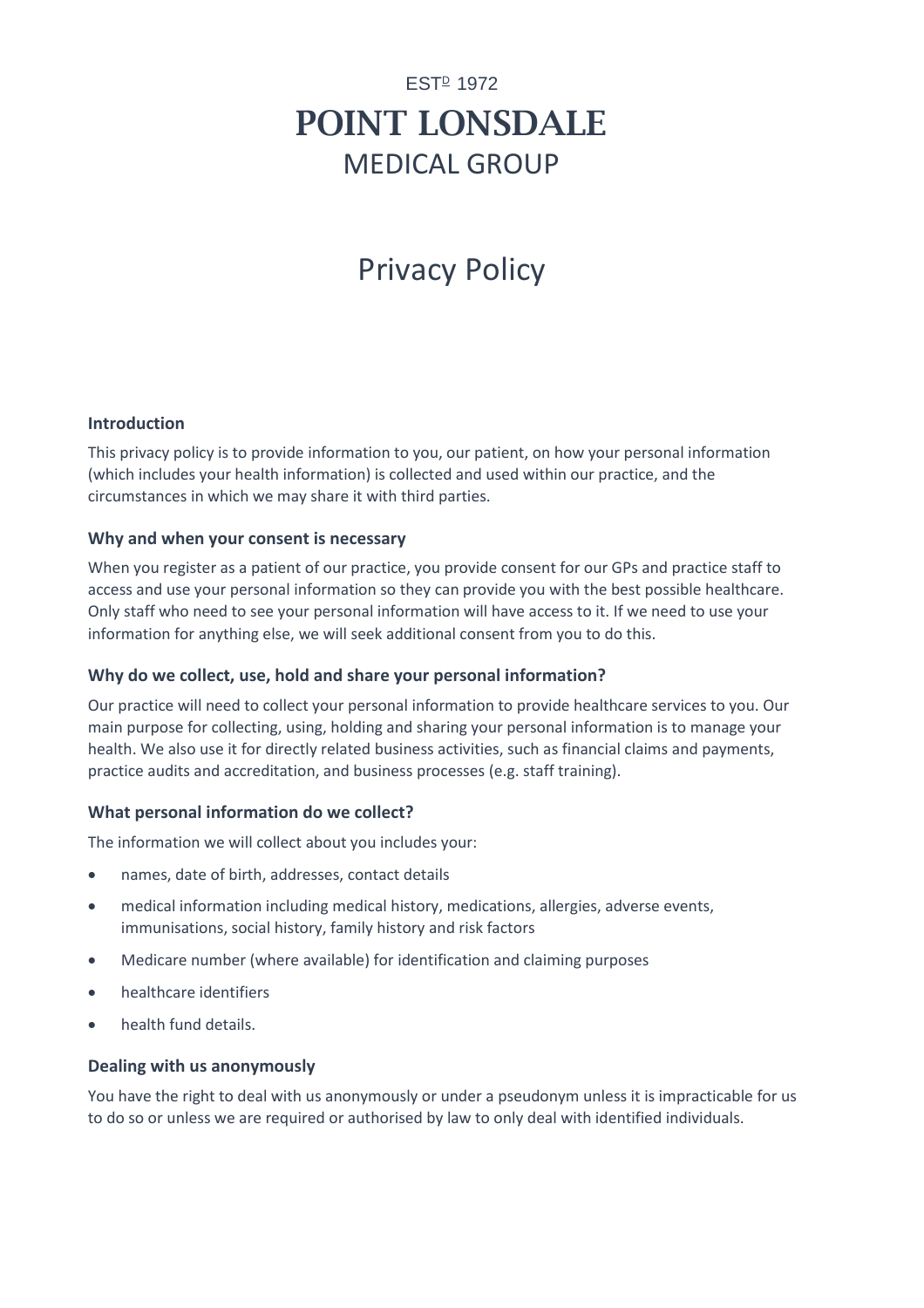# **EST**<sup>D</sup> 1972 POINT LONSDALE MEDICAL GROUP

# Privacy Policy

#### **Introduction**

This privacy policy is to provide information to you, our patient, on how your personal information (which includes your health information) is collected and used within our practice, and the circumstances in which we may share it with third parties.

#### **Why and when your consent is necessary**

When you register as a patient of our practice, you provide consent for our GPs and practice staff to access and use your personal information so they can provide you with the best possible healthcare. Only staff who need to see your personal information will have access to it. If we need to use your information for anything else, we will seek additional consent from you to do this.

# **Why do we collect, use, hold and share your personal information?**

Our practice will need to collect your personal information to provide healthcare services to you. Our main purpose for collecting, using, holding and sharing your personal information is to manage your health. We also use it for directly related business activities, such as financial claims and payments, practice audits and accreditation, and business processes (e.g. staff training).

# **What personal information do we collect?**

The information we will collect about you includes your:

- names, date of birth, addresses, contact details
- medical information including medical history, medications, allergies, adverse events, immunisations, social history, family history and risk factors
- Medicare number (where available) for identification and claiming purposes
- healthcare identifiers
- health fund details.

#### **Dealing with us anonymously**

You have the right to deal with us anonymously or under a pseudonym unless it is impracticable for us to do so or unless we are required or authorised by law to only deal with identified individuals.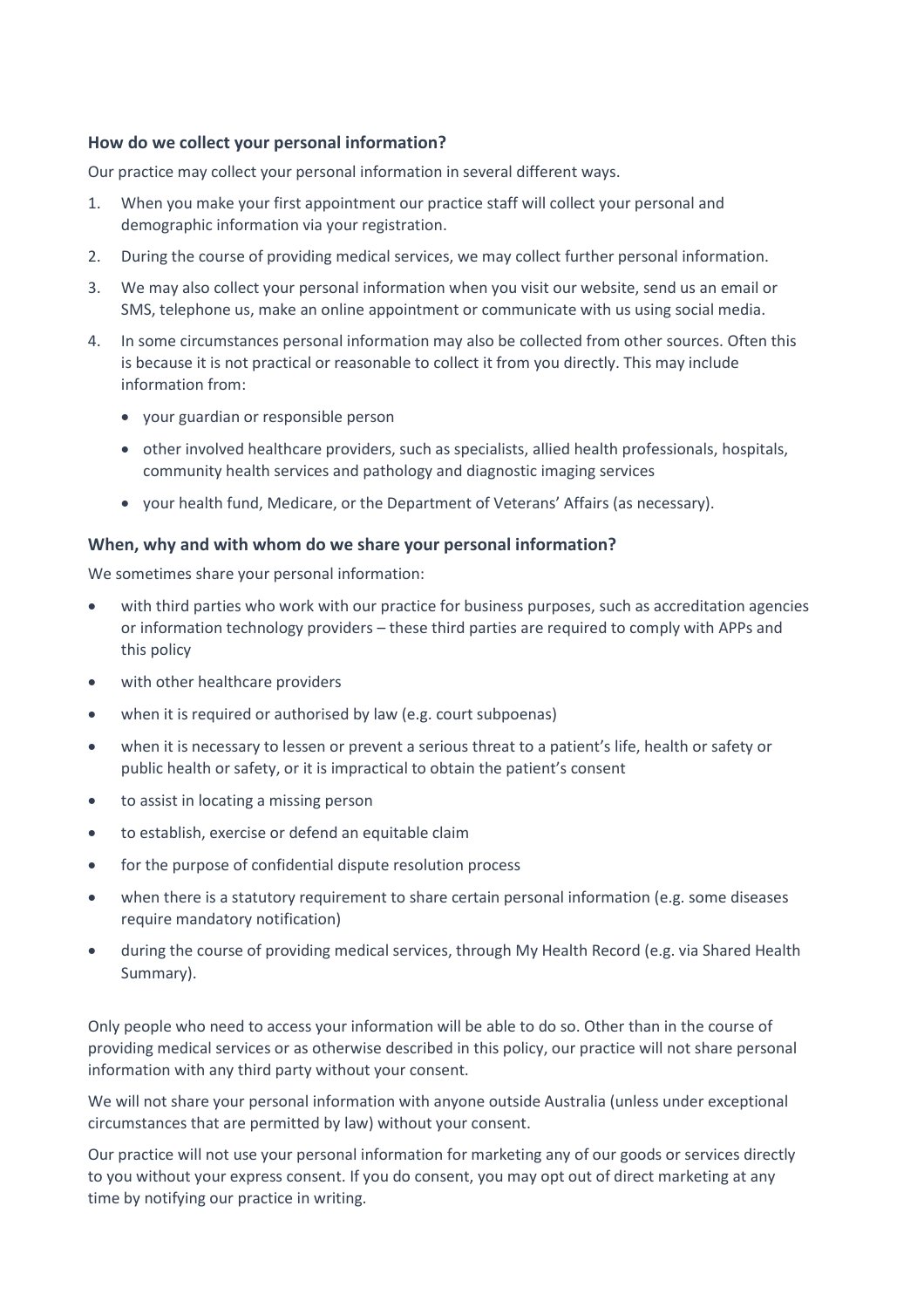## **How do we collect your personal information?**

Our practice may collect your personal information in several different ways.

- 1. When you make your first appointment our practice staff will collect your personal and demographic information via your registration.
- 2. During the course of providing medical services, we may collect further personal information.
- 3. We may also collect your personal information when you visit our website, send us an email or SMS, telephone us, make an online appointment or communicate with us using social media.
- 4. In some circumstances personal information may also be collected from other sources. Often this is because it is not practical or reasonable to collect it from you directly. This may include information from:
	- your guardian or responsible person
	- other involved healthcare providers, such as specialists, allied health professionals, hospitals, community health services and pathology and diagnostic imaging services
	- your health fund, Medicare, or the Department of Veterans' Affairs (as necessary).

#### **When, why and with whom do we share your personal information?**

We sometimes share your personal information:

- with third parties who work with our practice for business purposes, such as accreditation agencies or information technology providers – these third parties are required to comply with APPs and this policy
- with other healthcare providers
- when it is required or authorised by law (e.g. court subpoenas)
- when it is necessary to lessen or prevent a serious threat to a patient's life, health or safety or public health or safety, or it is impractical to obtain the patient's consent
- to assist in locating a missing person
- to establish, exercise or defend an equitable claim
- for the purpose of confidential dispute resolution process
- when there is a statutory requirement to share certain personal information (e.g. some diseases require mandatory notification)
- during the course of providing medical services, through My Health Record (e.g. via Shared Health Summary).

Only people who need to access your information will be able to do so. Other than in the course of providing medical services or as otherwise described in this policy, our practice will not share personal information with any third party without your consent.

We will not share your personal information with anyone outside Australia (unless under exceptional circumstances that are permitted by law) without your consent.

Our practice will not use your personal information for marketing any of our goods or services directly to you without your express consent. If you do consent, you may opt out of direct marketing at any time by notifying our practice in writing.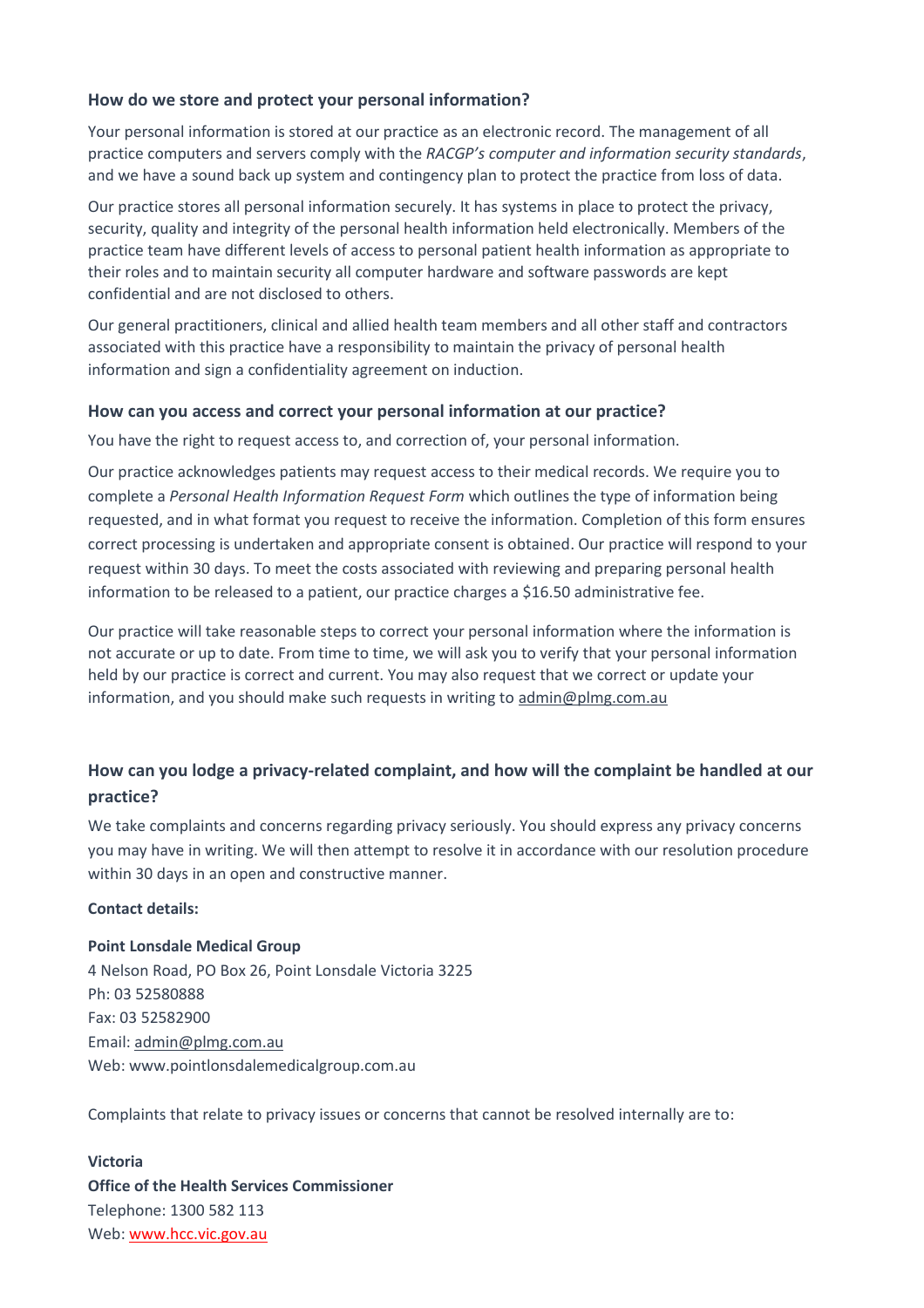# **How do we store and protect your personal information?**

Your personal information is stored at our practice as an electronic record. The management of all practice computers and servers comply with the *RACGP's computer and information security standards*, and we have a sound back up system and contingency plan to protect the practice from loss of data.

Our practice stores all personal information securely. It has systems in place to protect the privacy, security, quality and integrity of the personal health information held electronically. Members of the practice team have different levels of access to personal patient health information as appropriate to their roles and to maintain security all computer hardware and software passwords are kept confidential and are not disclosed to others.

Our general practitioners, clinical and allied health team members and all other staff and contractors associated with this practice have a responsibility to maintain the privacy of personal health information and sign a confidentiality agreement on induction.

### **How can you access and correct your personal information at our practice?**

You have the right to request access to, and correction of, your personal information.

Our practice acknowledges patients may request access to their medical records. We require you to complete a *Personal Health Information Request Form* which outlines the type of information being requested, and in what format you request to receive the information. Completion of this form ensures correct processing is undertaken and appropriate consent is obtained. Our practice will respond to your request within 30 days. To meet the costs associated with reviewing and preparing personal health information to be released to a patient, our practice charges a \$16.50 administrative fee.

Our practice will take reasonable steps to correct your personal information where the information is not accurate or up to date. From time to time, we will ask you to verify that your personal information held by our practice is correct and current. You may also request that we correct or update your information, and you should make such requests in writing t[o admin@plmg.com.au](mailto:admin@plmg.com.au)

# **How can you lodge a privacy-related complaint, and how will the complaint be handled at our practice?**

We take complaints and concerns regarding privacy seriously. You should express any privacy concerns you may have in writing. We will then attempt to resolve it in accordance with our resolution procedure within 30 days in an open and constructive manner.

# **Contact details:**

# **Point Lonsdale Medical Group** 4 Nelson Road, PO Box 26, Point Lonsdale Victoria 3225 Ph: 03 52580888 Fax: 03 52582900 Email[: admin@plmg.com.au](mailto:admin@plmg.com.au) Web: www.pointlonsdalemedicalgroup.com.au

Complaints that relate to privacy issues or concerns that cannot be resolved internally are to:

**Victoria Office of the Health Services Commissioner**  Telephone: 1300 582 113 Web: [www.hcc.vic.gov.au](http://www.hcc.vic.gov.au/)